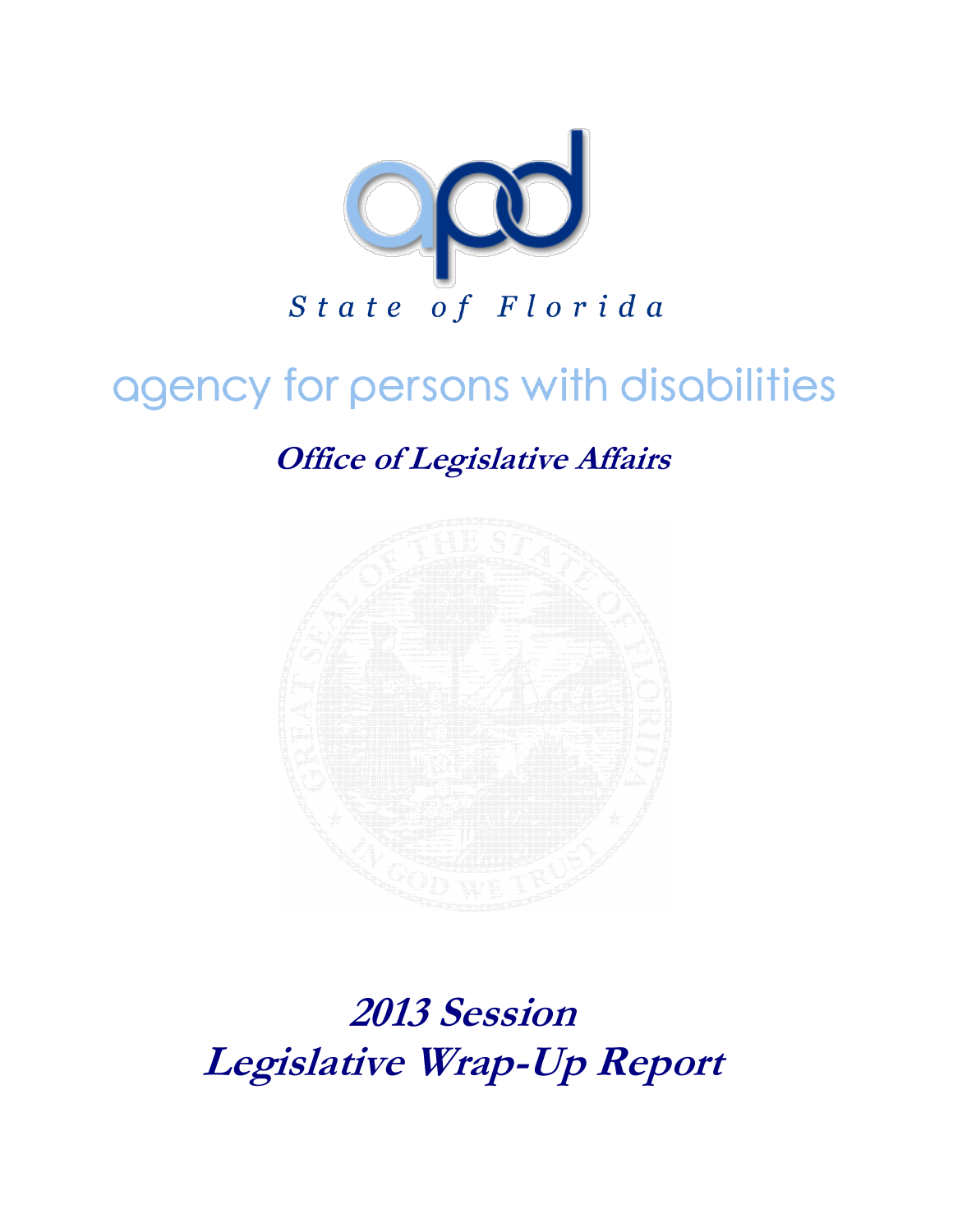

# agency for persons with disabilities

**Office of Legislative Affairs**



**2013 Session Legislative Wrap-Up Report**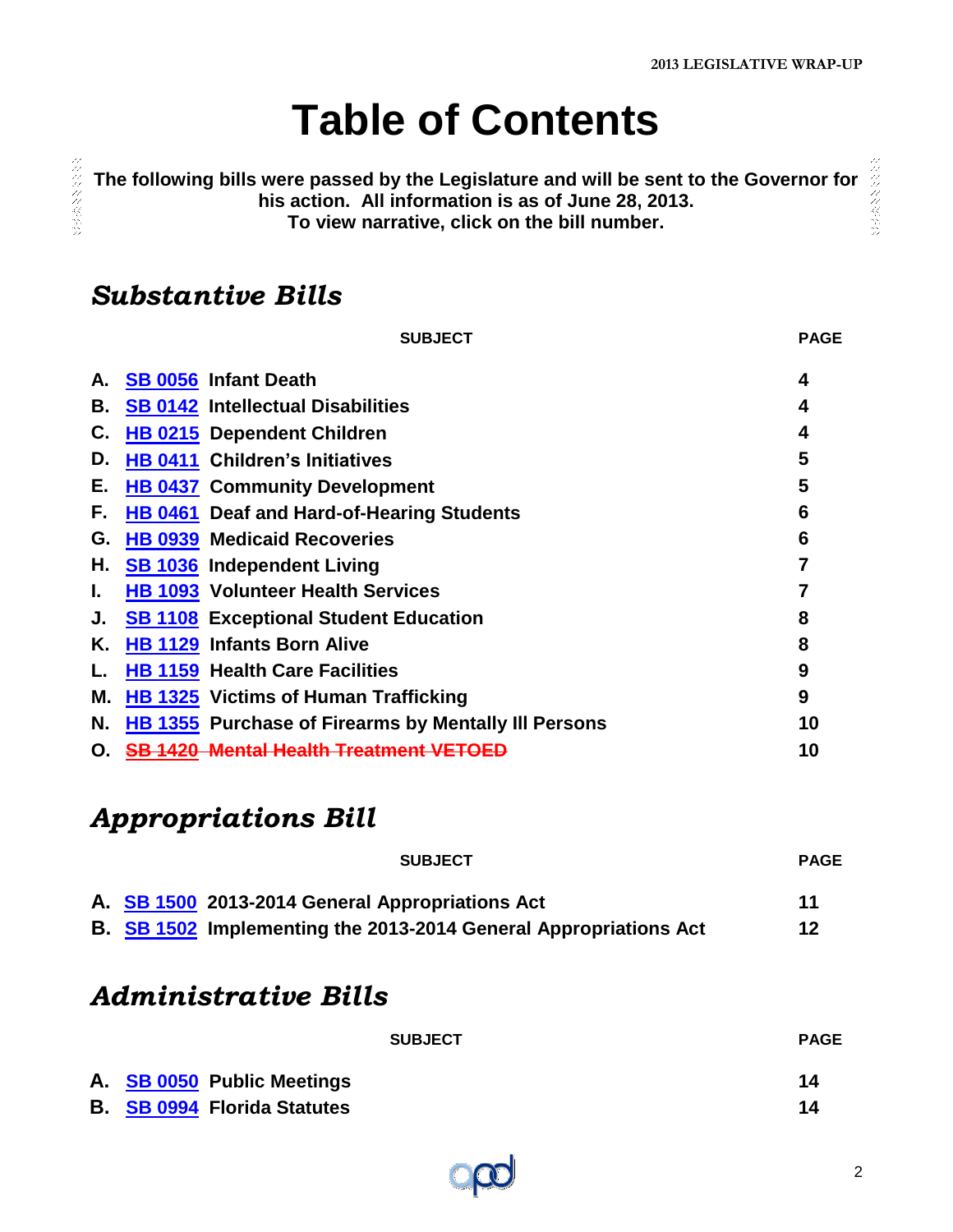# **Table of Contents**

<span id="page-1-0"></span>300余文文化文化

## *Substantive Bills*

|    | <b>SUBJECT</b>                                              | <b>PAGE</b> |
|----|-------------------------------------------------------------|-------------|
| А. | <b>SB 0056 Infant Death</b>                                 | 4           |
| В. | <b>SB 0142 Intellectual Disabilities</b>                    | 4           |
| С. | HB 0215 Dependent Children                                  | 4           |
| D. | <b>HB 0411 Children's Initiatives</b>                       | 5           |
| Е. | <b>HB 0437 Community Development</b>                        | 5           |
| F. | HB 0461 Deaf and Hard-of-Hearing Students                   | 6           |
| G. | <b>HB 0939 Medicaid Recoveries</b>                          | 6           |
| Н. | <b>SB 1036</b> Independent Living                           | 7           |
| I. | <b>HB 1093 Volunteer Health Services</b>                    | 7           |
| J. | <b>SB 1108 Exceptional Student Education</b>                | 8           |
| Κ. | <b>HB 1129 Infants Born Alive</b>                           | 8           |
| L. | <b>HB 1159 Health Care Facilities</b>                       | 9           |
| Μ. | <b>HB 1325 Victims of Human Trafficking</b>                 | 9           |
| Ν. | <b>HB 1355</b> Purchase of Firearms by Mentally III Persons | 10          |
| О. | <b>SB 1420 Mental Health Treatment VETOED</b>               | 10          |

# *Appropriations Bill*

| <b>SUBJECT</b>                                                   | <b>PAGE</b> |
|------------------------------------------------------------------|-------------|
| A. SB 1500 2013-2014 General Appropriations Act                  | 11          |
| B. SB 1502 Implementing the 2013-2014 General Appropriations Act | 12          |

### *Administrative Bills*

|                                    | <b>SUBJECT</b> | <b>PAGE</b> |
|------------------------------------|----------------|-------------|
| A. SB 0050 Public Meetings         |                | 14          |
| <b>B. SB 0994 Florida Statutes</b> |                | 14          |

みんみん くぐいみ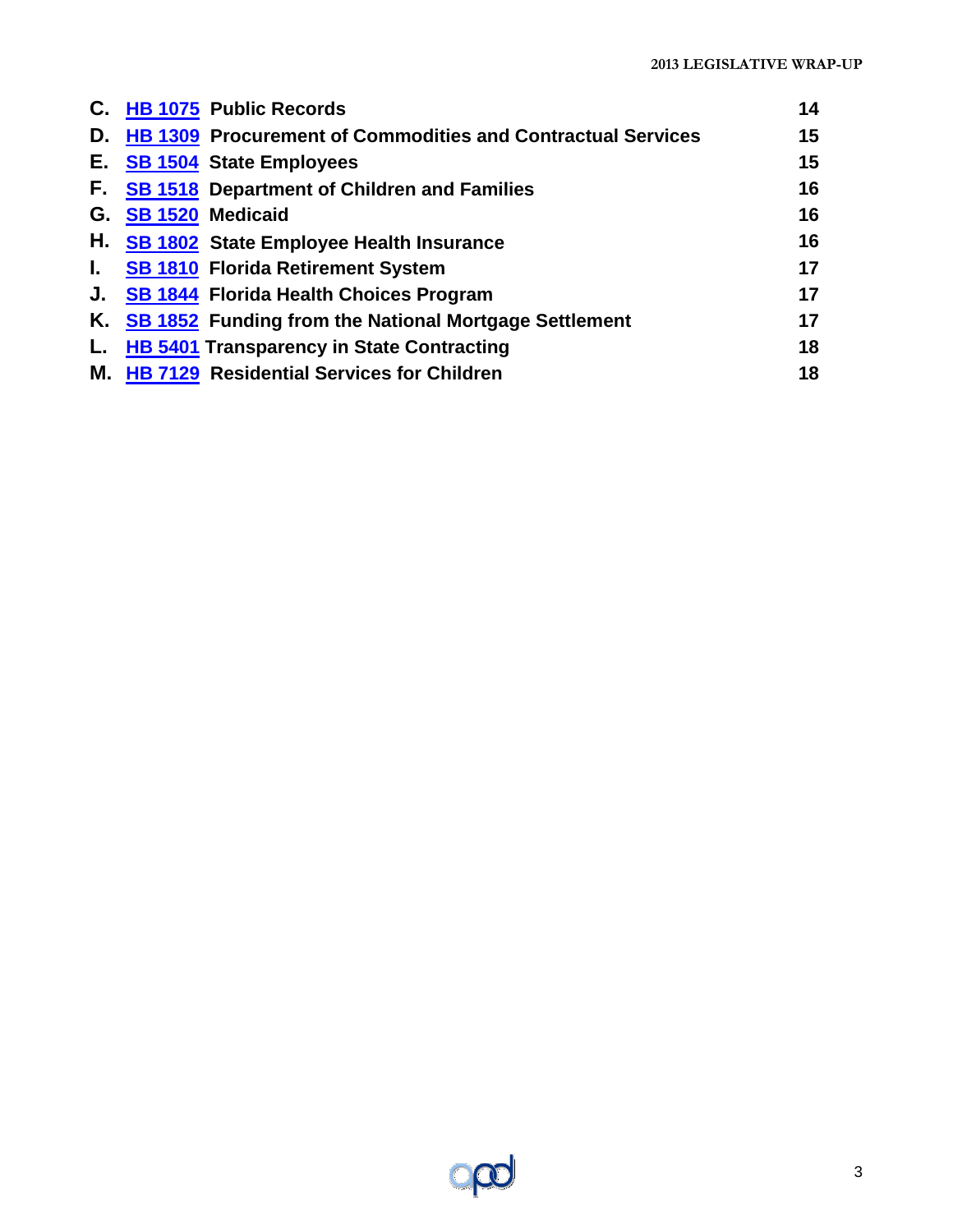|    | C. HB 1075 Public Records                                          | 14 |
|----|--------------------------------------------------------------------|----|
| D. | <b>HB 1309 Procurement of Commodities and Contractual Services</b> | 15 |
|    | E. SB 1504 State Employees                                         | 15 |
| F. | <b>SB 1518 Department of Children and Families</b>                 | 16 |
| G. | <b>SB 1520 Medicaid</b>                                            | 16 |
|    | H. SB 1802 State Employee Health Insurance                         | 16 |
| Ъ. | <b>SB 1810 Florida Retirement System</b>                           | 17 |
|    | J. SB 1844 Florida Health Choices Program                          | 17 |
|    | K. SB 1852 Funding from the National Mortgage Settlement           | 17 |
| L. | <b>HB 5401 Transparency in State Contracting</b>                   | 18 |
|    | M. HB 7129 Residential Services for Children                       | 18 |

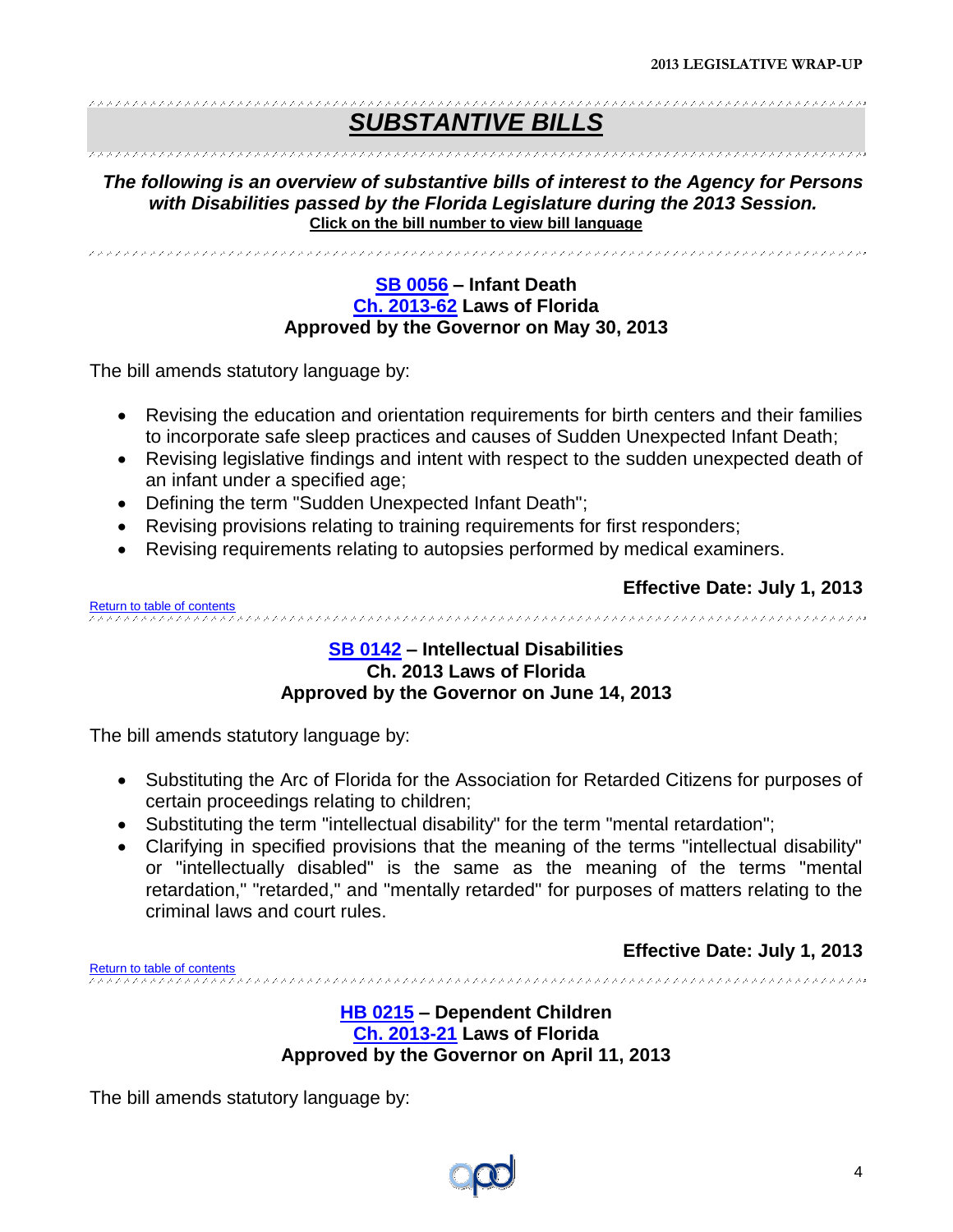#### \*\*\*\*\*\*\*\*\*\*\*\*\*\*\*\*\*\*\*\*\*\*\*\*\*\*\*\*\*\*\*\*\*\*\*\*\* *SUBSTANTIVE BILLS*

#### 

*The following is an overview of substantive bills of interest to the Agency for Persons with Disabilities passed by the Florida Legislature during the 2013 Session.* **Click on the bill number to view bill language** 

<span id="page-3-0"></span>

#### **[SB 0056](http://www.flsenate.gov/Session/Bill/2013/0056/BillText/er/PDF) – Infant Death [Ch. 2013-62](http://laws.flrules.org/files/Ch_2013_062.pdf) Laws of Florida Approved by the Governor on May 30, 2013**

The bill amends statutory language by:

- Revising the education and orientation requirements for birth centers and their families to incorporate safe sleep practices and causes of Sudden Unexpected Infant Death;
- Revising legislative findings and intent with respect to the sudden unexpected death of an infant under a specified age;
- Defining the term "Sudden Unexpected Infant Death";
- Revising provisions relating to training requirements for first responders;
- Revising requirements relating to autopsies performed by medical examiners.

**Effective Date: July 1, 2013**

<span id="page-3-1"></span>[Return to table of contents](#page-1-0)

#### **[SB 0142](http://www.flsenate.gov/Session/Bill/2013/0142/BillText/er/PDF) – Intellectual Disabilities Ch. 2013 Laws of Florida Approved by the Governor on June 14, 2013**

The bill amends statutory language by:

- Substituting the Arc of Florida for the Association for Retarded Citizens for purposes of certain proceedings relating to children;
- Substituting the term "intellectual disability" for the term "mental retardation";
- Clarifying in specified provisions that the meaning of the terms "intellectual disability" or "intellectually disabled" is the same as the meaning of the terms "mental retardation," "retarded," and "mentally retarded" for purposes of matters relating to the criminal laws and court rules.

**Effective Date: July 1, 2013**

<span id="page-3-2"></span>[Return to table of contents](#page-1-0)<br>experiences encores experiences encores experiences encores experiences encores experiences encores experience

**[HB 0215](http://www.myfloridahouse.gov/Sections/Documents/loaddoc.aspx?FileName=_h0215er.docx&DocumentType=Bill&BillNumber=0215&Session=2013) – Dependent Children [Ch. 2013-21](http://laws.flrules.org/files/Ch_2013_021.pdf) Laws of Florida Approved by the Governor on April 11, 2013**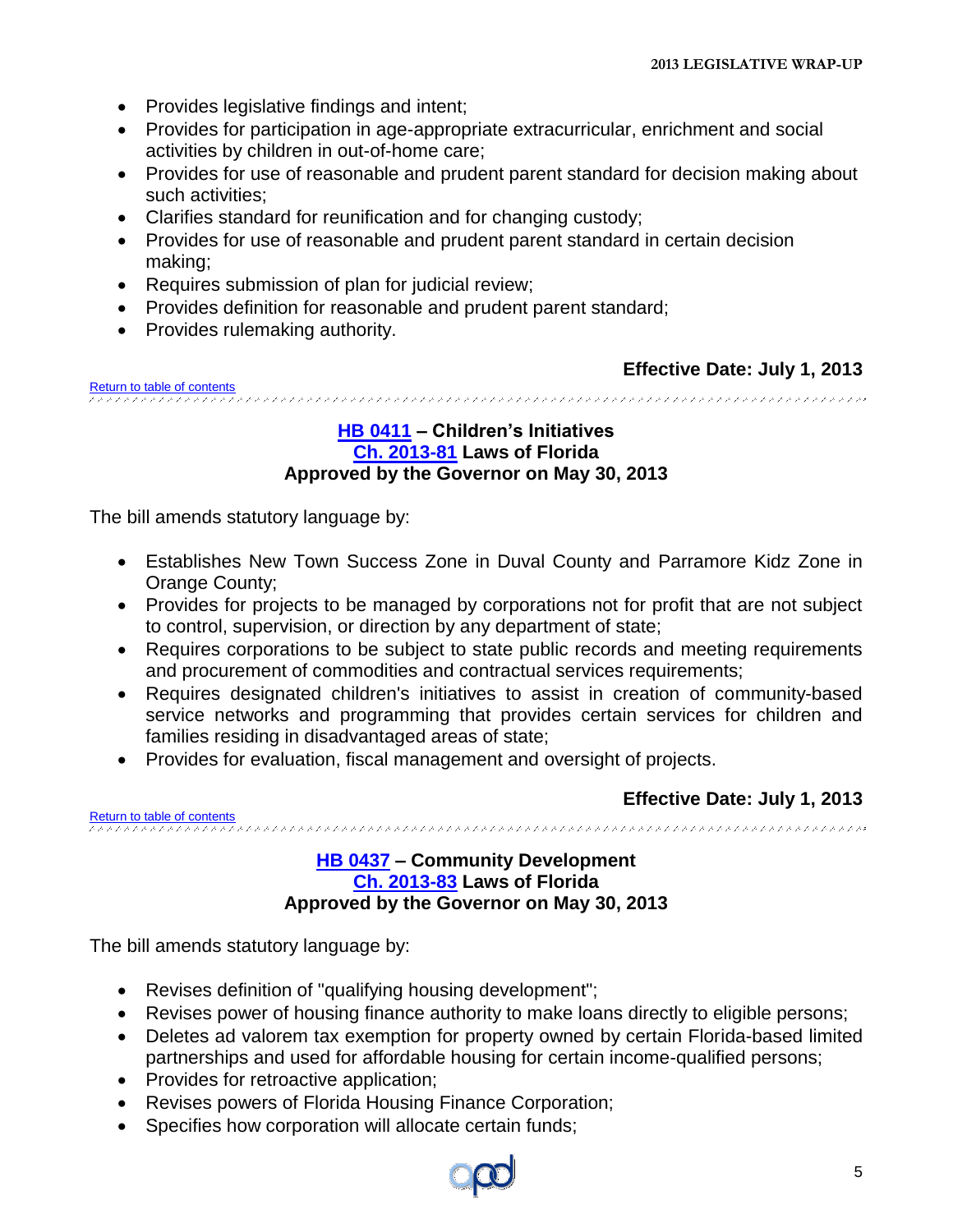- Provides legislative findings and intent;
- Provides for participation in age-appropriate extracurricular, enrichment and social activities by children in out-of-home care;
- Provides for use of reasonable and prudent parent standard for decision making about such activities;
- Clarifies standard for reunification and for changing custody;
- Provides for use of reasonable and prudent parent standard in certain decision making;
- Requires submission of plan for judicial review;
- Provides definition for reasonable and prudent parent standard;
- Provides rulemaking authority.

<span id="page-4-0"></span>[Return to table of contents](#page-1-0)

#### **[HB 0411](http://www.myfloridahouse.gov/Sections/Documents/loaddoc.aspx?FileName=_h0411er.docx&DocumentType=Bill&BillNumber=0411&Session=2013) – Children's Initiatives [Ch. 2013-81](http://laws.flrules.org/files/Ch_2013_081.pdf) Laws of Florida Approved by the Governor on May 30, 2013**

The bill amends statutory language by:

- Establishes New Town Success Zone in Duval County and Parramore Kidz Zone in Orange County;
- Provides for projects to be managed by corporations not for profit that are not subject to control, supervision, or direction by any department of state;
- Requires corporations to be subject to state public records and meeting requirements and procurement of commodities and contractual services requirements;
- Requires designated children's initiatives to assist in creation of community-based service networks and programming that provides certain services for children and families residing in disadvantaged areas of state;
- Provides for evaluation, fiscal management and oversight of projects.

**Effective Date: July 1, 2013**

<span id="page-4-1"></span>[Return to table of contents](#page-1-0)

#### **[HB 0437](http://www.myfloridahouse.gov/Sections/Documents/loaddoc.aspx?FileName=_h0437er.docx&DocumentType=Bill&BillNumber=0437&Session=2013) – Community Development [Ch. 2013-83](http://laws.flrules.org/files/Ch_2013_083.pdf) Laws of Florida Approved by the Governor on May 30, 2013**

- Revises definition of "qualifying housing development";
- Revises power of housing finance authority to make loans directly to eligible persons;
- Deletes ad valorem tax exemption for property owned by certain Florida-based limited partnerships and used for affordable housing for certain income-qualified persons;
- Provides for retroactive application;
- Revises powers of Florida Housing Finance Corporation;
- Specifies how corporation will allocate certain funds;

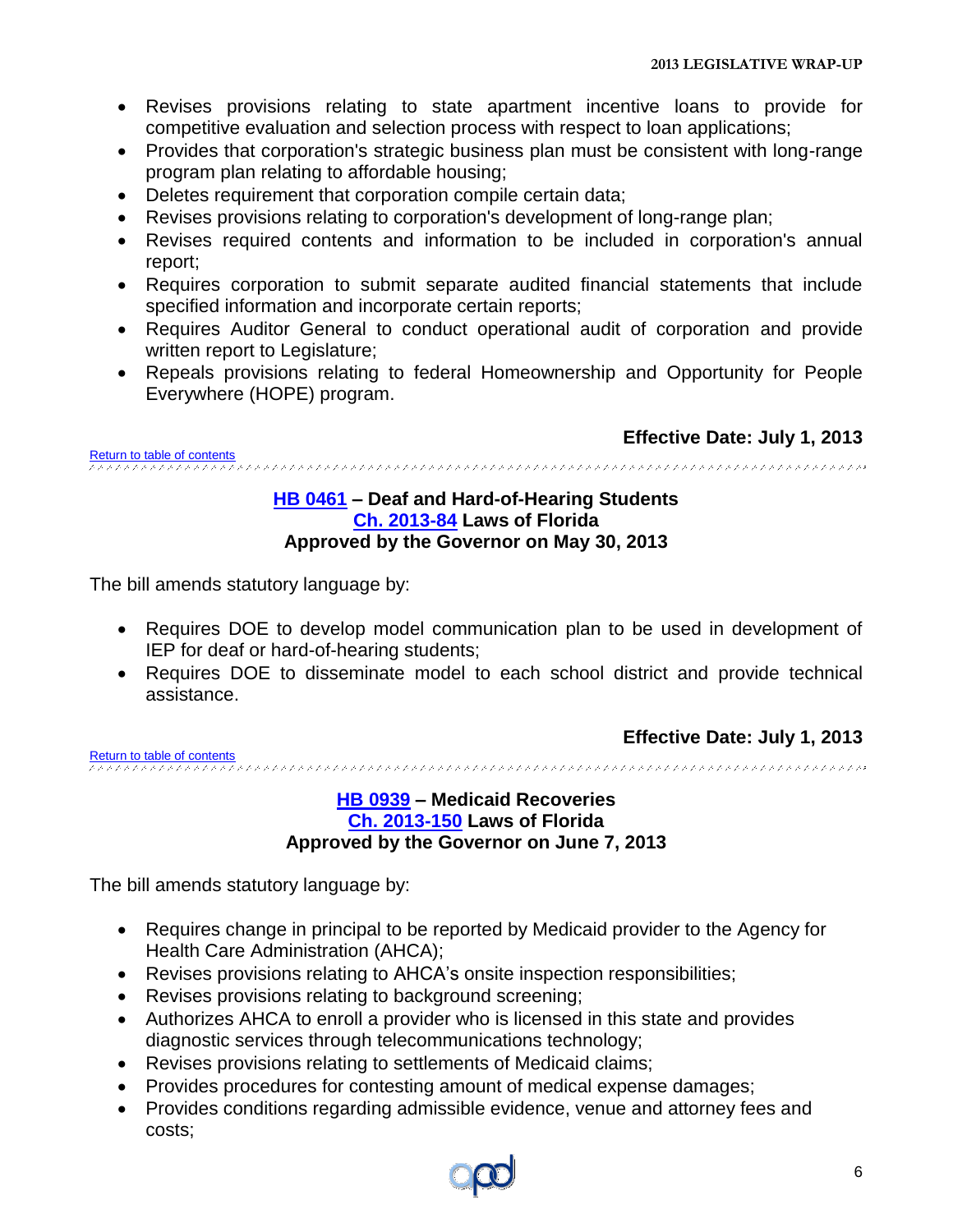- Revises provisions relating to state apartment incentive loans to provide for competitive evaluation and selection process with respect to loan applications;
- Provides that corporation's strategic business plan must be consistent with long-range program plan relating to affordable housing;
- Deletes requirement that corporation compile certain data;
- Revises provisions relating to corporation's development of long-range plan;
- Revises required contents and information to be included in corporation's annual report;
- Requires corporation to submit separate audited financial statements that include specified information and incorporate certain reports;
- Requires Auditor General to conduct operational audit of corporation and provide written report to Legislature;
- Repeals provisions relating to federal Homeownership and Opportunity for People Everywhere (HOPE) program.

<span id="page-5-0"></span>[Return to table of contents](#page-1-0)

#### **[HB 0461](http://www.myfloridahouse.gov/Sections/Documents/loaddoc.aspx?FileName=_h0461er.docx&DocumentType=Bill&BillNumber=0461&Session=2013) – Deaf and Hard-of-Hearing Students [Ch. 2013-84](http://laws.flrules.org/files/Ch_2013_084.pdf) Laws of Florida Approved by the Governor on May 30, 2013**

The bill amends statutory language by:

- Requires DOE to develop model communication plan to be used in development of IEP for deaf or hard-of-hearing students;
- Requires DOE to disseminate model to each school district and provide technical assistance.

**Effective Date: July 1, 2013**

<span id="page-5-1"></span>[Return to table of contents](#page-1-0)

#### **[HB 0939](http://www.myfloridahouse.gov/Sections/Documents/loaddoc.aspx?FileName=_h0939er.docx&DocumentType=Bill&BillNumber=0939&Session=2013) – Medicaid Recoveries [Ch. 2013-150](http://laws.flrules.org/files/Ch_2013_150.pdf) Laws of Florida Approved by the Governor on June 7, 2013**

- Requires change in principal to be reported by Medicaid provider to the Agency for Health Care Administration (AHCA);
- Revises provisions relating to AHCA's onsite inspection responsibilities;
- Revises provisions relating to background screening;
- Authorizes AHCA to enroll a provider who is licensed in this state and provides diagnostic services through telecommunications technology;
- Revises provisions relating to settlements of Medicaid claims;
- Provides procedures for contesting amount of medical expense damages;
- Provides conditions regarding admissible evidence, venue and attorney fees and costs;

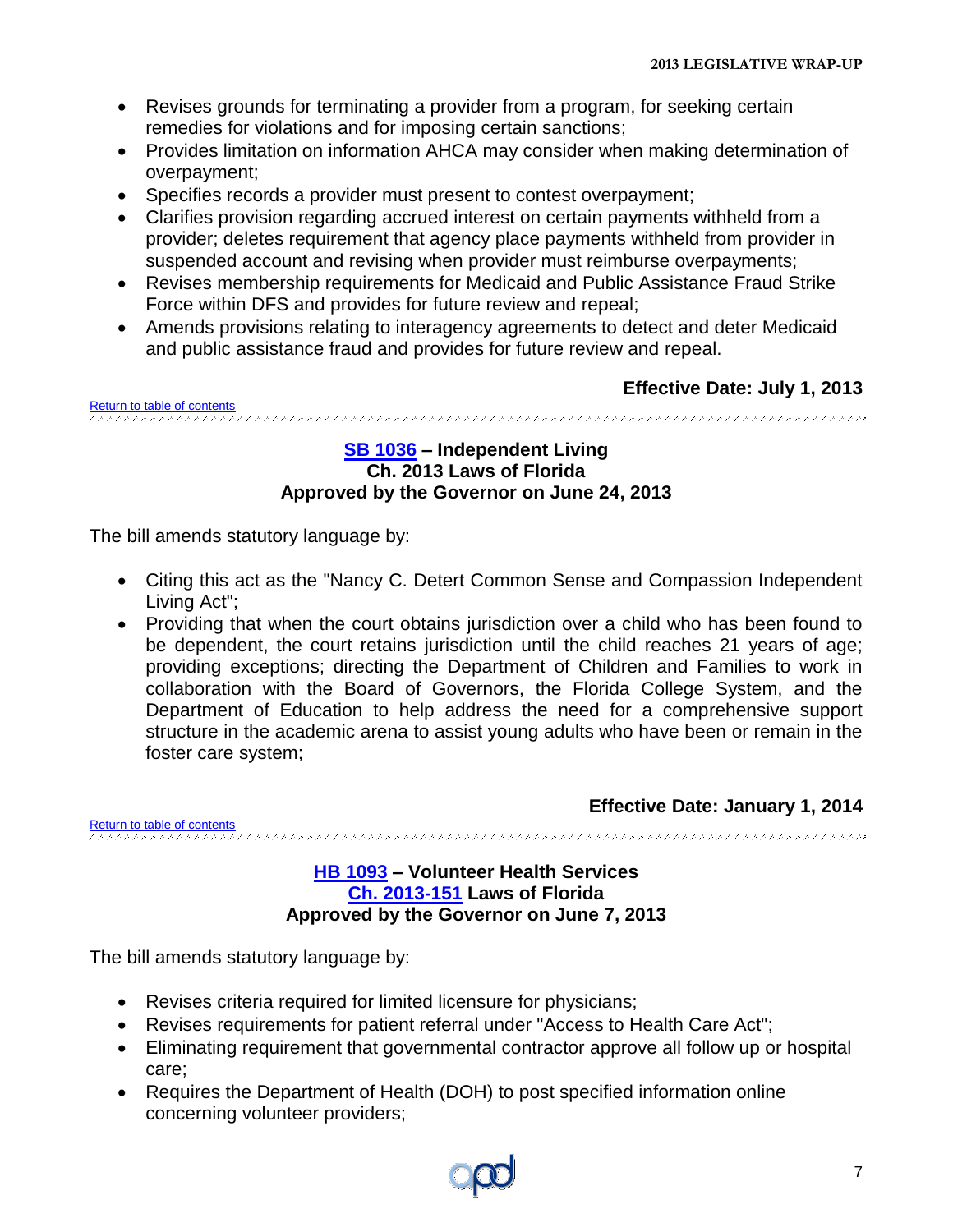- Revises grounds for terminating a provider from a program, for seeking certain remedies for violations and for imposing certain sanctions;
- Provides limitation on information AHCA may consider when making determination of overpayment;
- Specifies records a provider must present to contest overpayment;
- Clarifies provision regarding accrued interest on certain payments withheld from a provider; deletes requirement that agency place payments withheld from provider in suspended account and revising when provider must reimburse overpayments;
- Revises membership requirements for Medicaid and Public Assistance Fraud Strike Force within DFS and provides for future review and repeal;
- Amends provisions relating to interagency agreements to detect and deter Medicaid and public assistance fraud and provides for future review and repeal.

<span id="page-6-0"></span>[Return to table of contents](#page-1-0)

#### **[SB 1036](http://www.flsenate.gov/Session/Bill/2013/1036/BillText/er/PDF) – Independent Living Ch. 2013 Laws of Florida Approved by the Governor on June 24, 2013**

The bill amends statutory language by:

- Citing this act as the "Nancy C. Detert Common Sense and Compassion Independent Living Act";
- Providing that when the court obtains jurisdiction over a child who has been found to be dependent, the court retains jurisdiction until the child reaches 21 years of age; providing exceptions; directing the Department of Children and Families to work in collaboration with the Board of Governors, the Florida College System, and the Department of Education to help address the need for a comprehensive support structure in the academic arena to assist young adults who have been or remain in the foster care system;

**Effective Date: January 1, 2014**

<span id="page-6-1"></span>[Return to table of contents](#page-1-0)

#### **[HB 1093](http://www.myfloridahouse.gov/Sections/Documents/loaddoc.aspx?FileName=_h1093er.docx&DocumentType=Bill&BillNumber=1093&Session=2013) – Volunteer Health Services [Ch. 2013-151](http://laws.flrules.org/files/Ch_2013_151.pdf) Laws of Florida Approved by the Governor on June 7, 2013**

- Revises criteria required for limited licensure for physicians;
- Revises requirements for patient referral under "Access to Health Care Act";
- Eliminating requirement that governmental contractor approve all follow up or hospital care;
- Requires the Department of Health (DOH) to post specified information online concerning volunteer providers;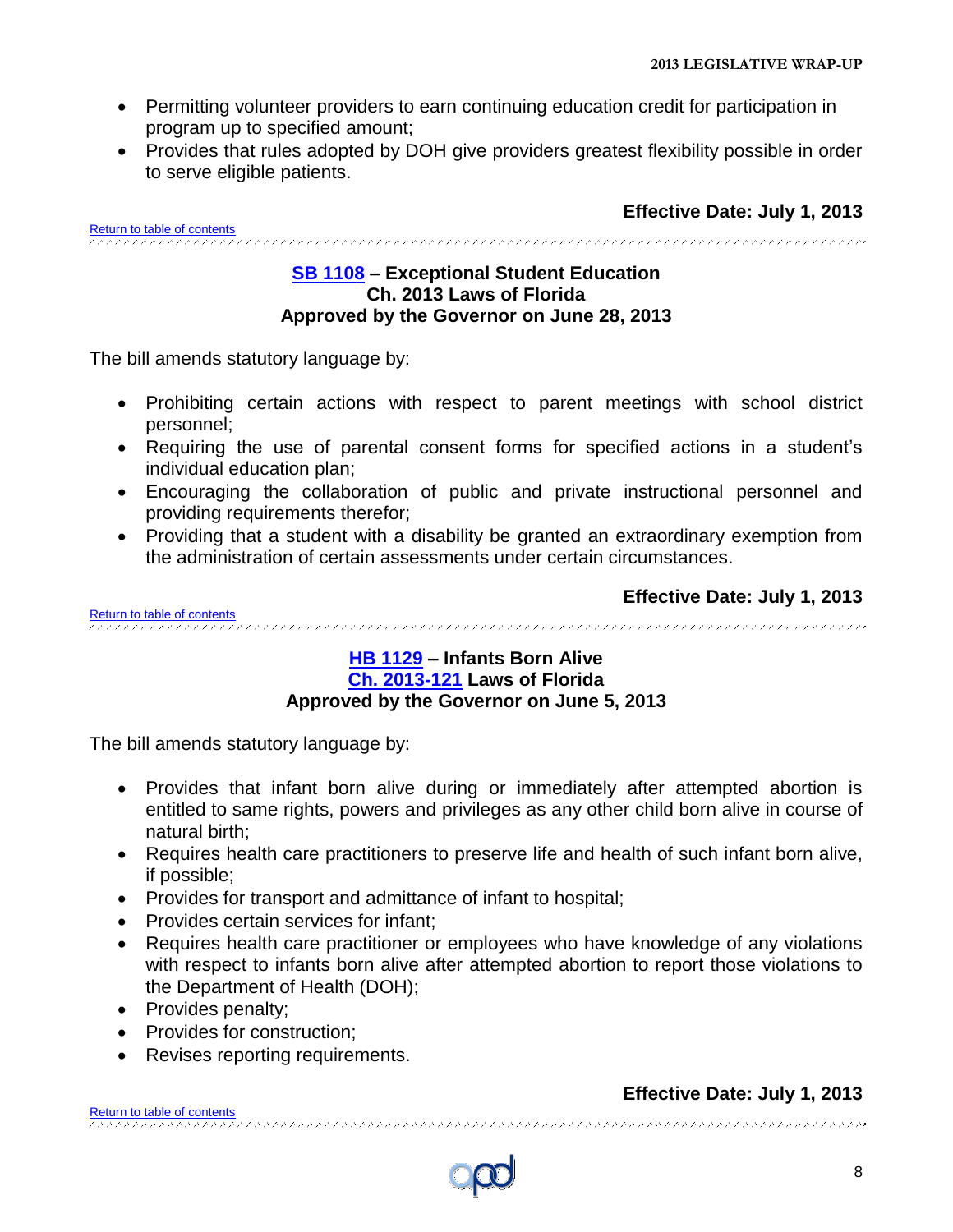- Permitting volunteer providers to earn continuing education credit for participation in program up to specified amount;
- Provides that rules adopted by DOH give providers greatest flexibility possible in order to serve eligible patients.

<span id="page-7-0"></span>[Return to table of contents](#page-1-0)<br>COCOCOCOCOCOCOCOCOCOCOCOCOCO 

#### **[SB 1108](http://www.flsenate.gov/Session/Bill/2013/1108/BillText/er/PDF) – Exceptional Student Education Ch. 2013 Laws of Florida Approved by the Governor on June 28, 2013**

The bill amends statutory language by:

- Prohibiting certain actions with respect to parent meetings with school district personnel;
- Requiring the use of parental consent forms for specified actions in a student's individual education plan;
- Encouraging the collaboration of public and private instructional personnel and providing requirements therefor;
- Providing that a student with a disability be granted an extraordinary exemption from the administration of certain assessments under certain circumstances.

<span id="page-7-1"></span>**Effective Date: July 1, 2013** [Return to table of](#page-1-0) contents

#### **[HB 1129](http://www.myfloridahouse.gov/Sections/Documents/loaddoc.aspx?FileName=_h1129er.docx&DocumentType=Bill&BillNumber=1129&Session=2013) – Infants Born Alive [Ch. 2013-121](http://laws.flrules.org/files/Ch_2013_121.pdf.pdf) Laws of Florida Approved by the Governor on June 5, 2013**

The bill amends statutory language by:

- Provides that infant born alive during or immediately after attempted abortion is entitled to same rights, powers and privileges as any other child born alive in course of natural birth;
- Requires health care practitioners to preserve life and health of such infant born alive, if possible;
- Provides for transport and admittance of infant to hospital;
- Provides certain services for infant:
- Requires health care practitioner or employees who have knowledge of any violations with respect to infants born alive after attempted abortion to report those violations to the Department of Health (DOH);
- Provides penalty;
- Provides for construction;
- Revises reporting requirements.

### **Effective Date: July 1, 2013**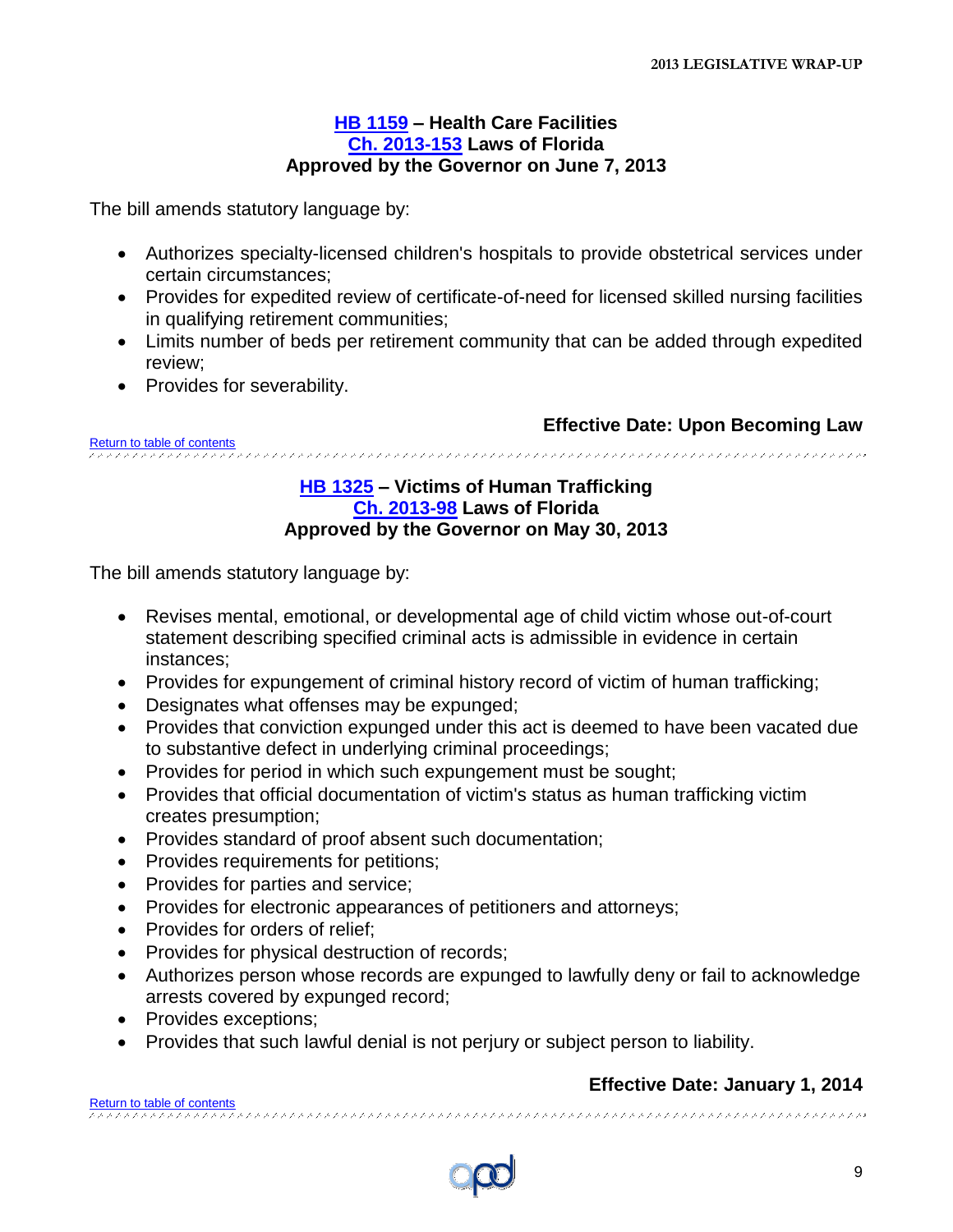#### **[HB 1159](http://www.myfloridahouse.gov/Sections/Documents/loaddoc.aspx?FileName=_h1159er.docx&DocumentType=Bill&BillNumber=1159&Session=2013) – Health Care Facilities [Ch. 2013-153](http://laws.flrules.org/files/Ch_2013_153.pdf) Laws of Florida Approved by the Governor on June 7, 2013**

<span id="page-8-0"></span>The bill amends statutory language by:

- Authorizes specialty-licensed children's hospitals to provide obstetrical services under certain circumstances;
- Provides for expedited review of certificate-of-need for licensed skilled nursing facilities in qualifying retirement communities;
- Limits number of beds per retirement community that can be added through expedited review;
- Provides for severability.

**Effective Date: Upon Becoming Law**

<span id="page-8-1"></span>[Return to table of contents](#page-1-0)

#### **[HB 1325](http://www.myfloridahouse.gov/Sections/Documents/loaddoc.aspx?FileName=_h1325er.docx&DocumentType=Bill&BillNumber=1325&Session=2013) – Victims of Human Trafficking [Ch. 2013-98](http://laws.flrules.org/files/Ch_2013_098.pdf) Laws of Florida Approved by the Governor on May 30, 2013**

The bill amends statutory language by:

- Revises mental, emotional, or developmental age of child victim whose out-of-court statement describing specified criminal acts is admissible in evidence in certain instances;
- Provides for expungement of criminal history record of victim of human trafficking;
- Designates what offenses may be expunged;
- Provides that conviction expunged under this act is deemed to have been vacated due to substantive defect in underlying criminal proceedings;
- Provides for period in which such expungement must be sought;
- Provides that official documentation of victim's status as human trafficking victim creates presumption;
- Provides standard of proof absent such documentation;
- Provides requirements for petitions;
- Provides for parties and service;
- Provides for electronic appearances of petitioners and attorneys;
- Provides for orders of relief;
- Provides for physical destruction of records;
- Authorizes person whose records are expunged to lawfully deny or fail to acknowledge arrests covered by expunged record;
- Provides exceptions;
- Provides that such lawful denial is not perjury or subject person to liability.

#### **Effective Date: January 1, 2014**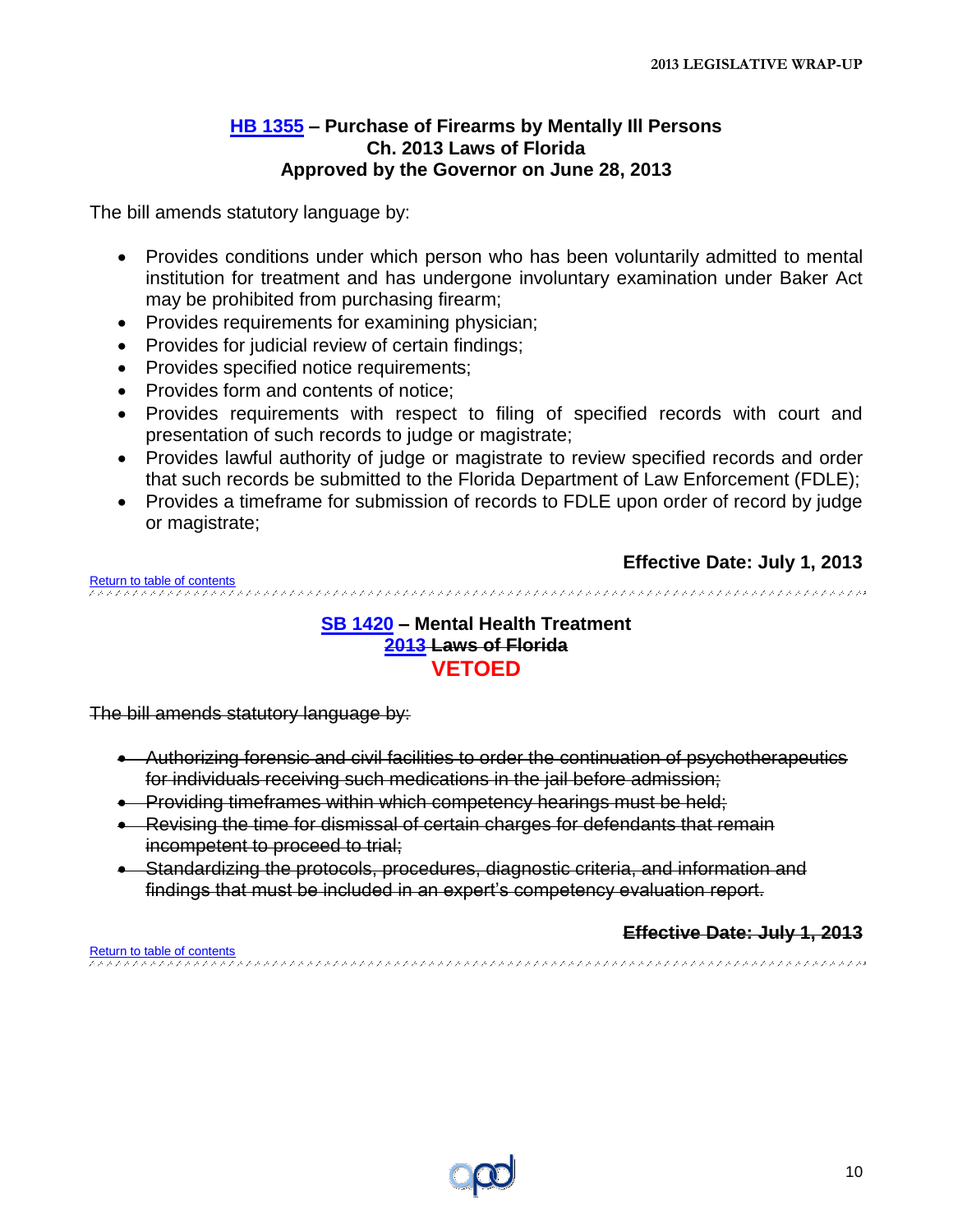#### **[HB 1355](http://www.myfloridahouse.gov/Sections/Documents/loaddoc.aspx?FileName=_h1355er.docx&DocumentType=Bill&BillNumber=1355&Session=2013) – Purchase of Firearms by Mentally Ill Persons Ch. 2013 Laws of Florida Approved by the Governor on June 28, 2013**

<span id="page-9-0"></span>The bill amends statutory language by:

- Provides conditions under which person who has been voluntarily admitted to mental institution for treatment and has undergone involuntary examination under Baker Act may be prohibited from purchasing firearm;
- Provides requirements for examining physician;
- Provides for judicial review of certain findings;
- Provides specified notice requirements;
- Provides form and contents of notice:
- Provides requirements with respect to filing of specified records with court and presentation of such records to judge or magistrate;
- Provides lawful authority of judge or magistrate to review specified records and order that such records be submitted to the Florida Department of Law Enforcement (FDLE);
- Provides a timeframe for submission of records to FDLE upon order of record by judge or magistrate;

#### **Effective Date: July 1, 2013**

<span id="page-9-1"></span>[Return to table of contents](#page-1-0)

#### **[SB 1420](http://www.flsenate.gov/Session/Bill/2013/1420/BillText/er/PDF) – Mental Health Treatment [2013](http://laws.flrules.org/) Laws of Florida [VETOED](http://www.flgov.com/wp-content/uploads/2012/04/4.20.12-HB-5009-Veto-Letter.pdf)**

The bill amends statutory language by:

- Authorizing forensic and civil facilities to order the continuation of psychotherapeutics for individuals receiving such medications in the jail before admission;
- **Providing timeframes within which competency hearings must be held;**
- Revising the time for dismissal of certain charges for defendants that remain incompetent to proceed to trial;
- Standardizing the protocols, procedures, diagnostic criteria, and information and findings that must be included in an expert's competency evaluation report.

#### **Effective Date: July 1, 2013**

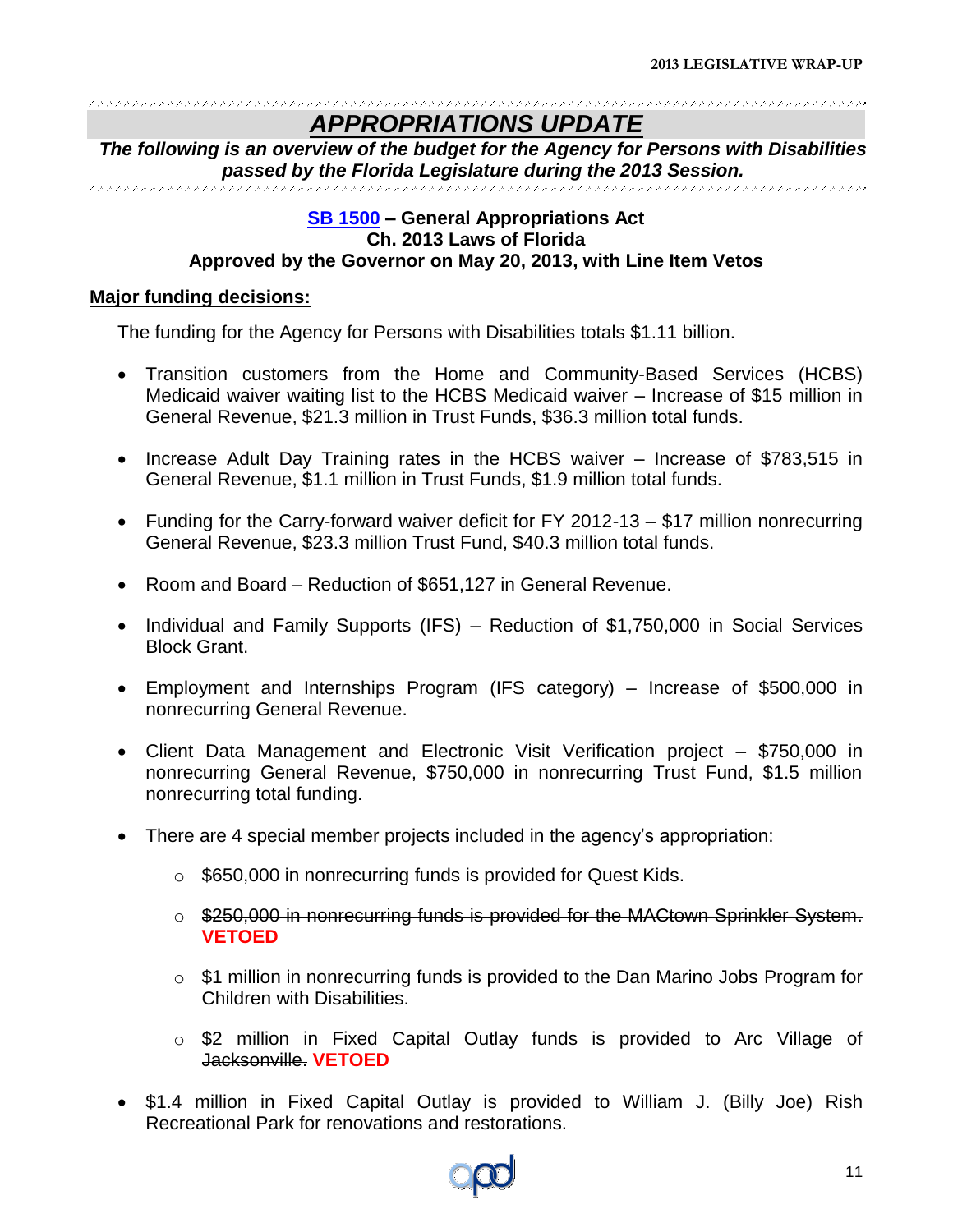#### *APPROPRIATIONS UPDATE*

<span id="page-10-0"></span>*The following is an overview of the budget for the Agency for Persons with Disabilities passed by the Florida Legislature during the 2013 Session.*

#### **[SB 1500](http://www.flsenate.gov/Session/Bill/2013/1500/BillText/er/PDF) – General Appropriations Act Ch. 2013 Laws of Florida Approved by the Governor on May 20, 2013, with Line Item Vetos**

#### **Major funding decisions:**

The funding for the Agency for Persons with Disabilities totals \$1.11 billion.

- Transition customers from the Home and Community-Based Services (HCBS) Medicaid waiver waiting list to the HCBS Medicaid waiver – Increase of \$15 million in General Revenue, \$21.3 million in Trust Funds, \$36.3 million total funds.
- Increase Adult Day Training rates in the HCBS waiver Increase of \$783,515 in General Revenue, \$1.1 million in Trust Funds, \$1.9 million total funds.
- Funding for the Carry-forward waiver deficit for FY 2012-13 \$17 million nonrecurring General Revenue, \$23.3 million Trust Fund, \$40.3 million total funds.
- Room and Board Reduction of \$651,127 in General Revenue.
- Individual and Family Supports (IFS) Reduction of \$1,750,000 in Social Services Block Grant.
- Employment and Internships Program (IFS category) Increase of \$500,000 in nonrecurring General Revenue.
- Client Data Management and Electronic Visit Verification project \$750,000 in nonrecurring General Revenue, \$750,000 in nonrecurring Trust Fund, \$1.5 million nonrecurring total funding.
- There are 4 special member projects included in the agency's appropriation:
	- o \$650,000 in nonrecurring funds is provided for Quest Kids.
	- o \$250,000 in nonrecurring funds is provided for the MACtown Sprinkler System. **VETOED**
	- $\circ$  \$1 million in nonrecurring funds is provided to the Dan Marino Jobs Program for Children with Disabilities.
	- o \$2 million in Fixed Capital Outlay funds is provided to Arc Village of Jacksonville. **VETOED**
- \$1.4 million in Fixed Capital Outlay is provided to William J. (Billy Joe) Rish Recreational Park for renovations and restorations.

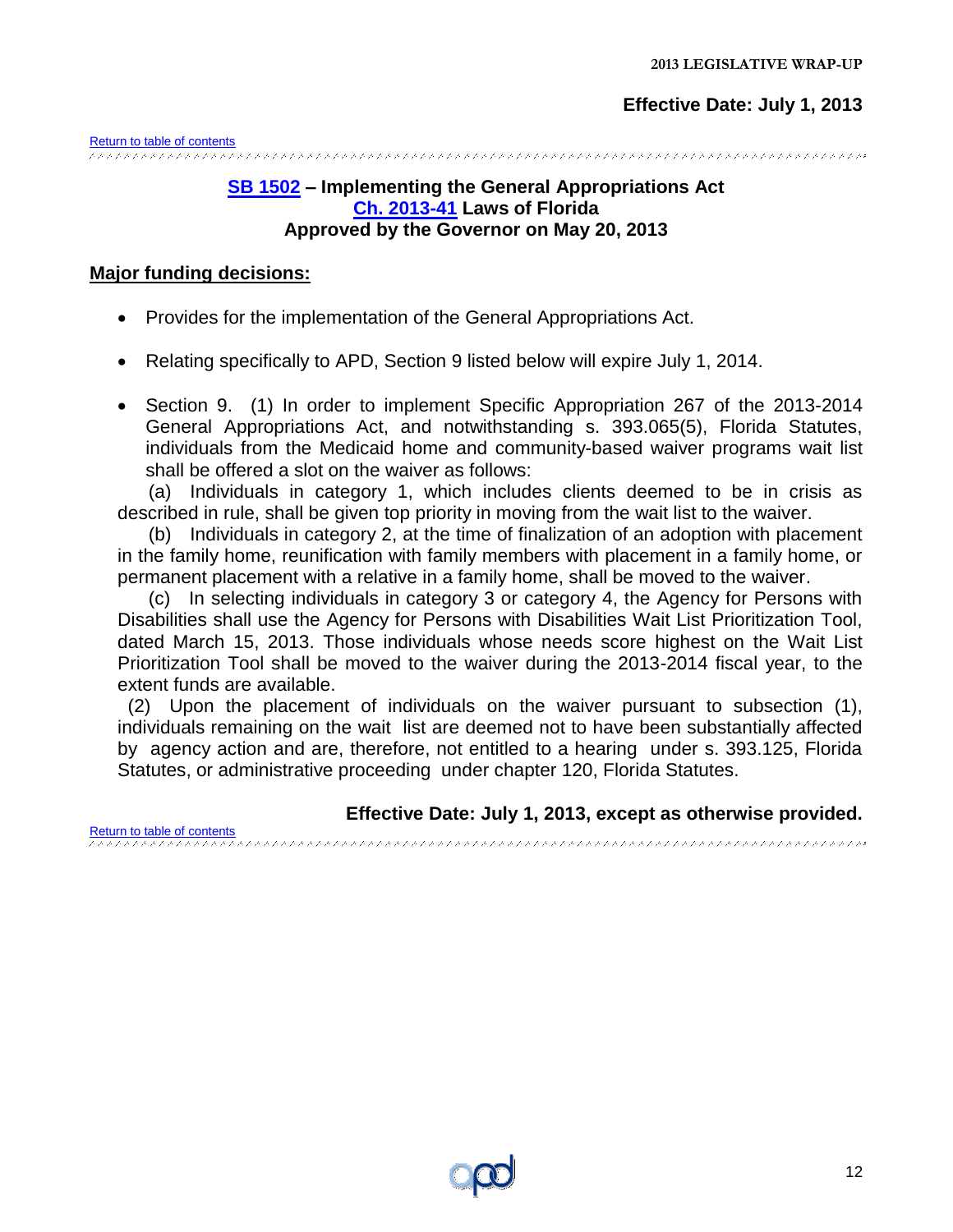<span id="page-11-0"></span>[Return to table of contents](#page-1-0)

#### **[SB 1502](http://www.flsenate.gov/Session/Bill/2013/1502/BillText/er/PDF) – Implementing the General Appropriations Act [Ch. 2013-41](http://laws.flrules.org/files/Ch_2013_041.pdf) Laws of Florida Approved by the Governor on May 20, 2013**

#### **Major funding decisions:**

- Provides for the implementation of the General Appropriations Act.
- Relating specifically to APD, Section 9 listed below will expire July 1, 2014.
- Section 9. (1) In order to implement Specific Appropriation 267 of the 2013-2014 General Appropriations Act, and notwithstanding s. 393.065(5), Florida Statutes, individuals from the Medicaid home and community-based waiver programs wait list shall be offered a slot on the waiver as follows:

 (a) Individuals in category 1, which includes clients deemed to be in crisis as described in rule, shall be given top priority in moving from the wait list to the waiver.

 (b) Individuals in category 2, at the time of finalization of an adoption with placement in the family home, reunification with family members with placement in a family home, or permanent placement with a relative in a family home, shall be moved to the waiver.

 (c) In selecting individuals in category 3 or category 4, the Agency for Persons with Disabilities shall use the Agency for Persons with Disabilities Wait List Prioritization Tool, dated March 15, 2013. Those individuals whose needs score highest on the Wait List Prioritization Tool shall be moved to the waiver during the 2013-2014 fiscal year, to the extent funds are available.

 (2) Upon the placement of individuals on the waiver pursuant to subsection (1), individuals remaining on the wait list are deemed not to have been substantially affected by agency action and are, therefore, not entitled to a hearing under s. 393.125, Florida Statutes, or administrative proceeding under chapter 120, Florida Statutes.

**Effective Date: July 1, 2013, except as otherwise provided.**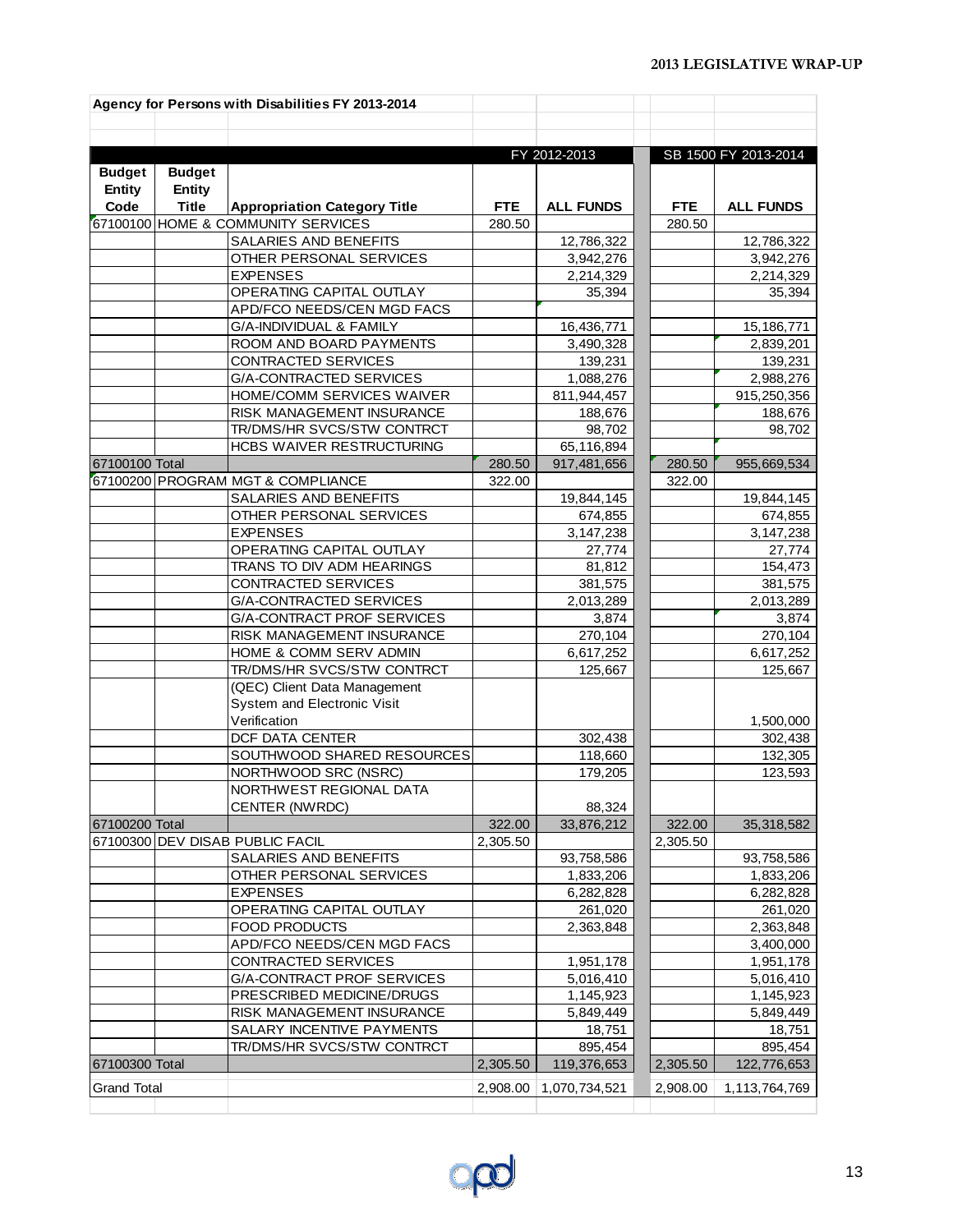|                    |               | Agency for Persons with Disabilities FY 2013-2014    |            |                           |            |                      |
|--------------------|---------------|------------------------------------------------------|------------|---------------------------|------------|----------------------|
|                    |               |                                                      |            |                           |            |                      |
|                    |               |                                                      |            |                           |            |                      |
|                    |               |                                                      |            | FY 2012-2013              |            | SB 1500 FY 2013-2014 |
| <b>Budget</b>      | <b>Budget</b> |                                                      |            |                           |            |                      |
| <b>Entity</b>      | <b>Entity</b> |                                                      |            |                           |            |                      |
| Code               | <b>Title</b>  | <b>Appropriation Category Title</b>                  | <b>FTE</b> | <b>ALL FUNDS</b>          | <b>FTE</b> | <b>ALL FUNDS</b>     |
|                    |               | 67100100 HOME & COMMUNITY SERVICES                   | 280.50     |                           | 280.50     |                      |
|                    |               | SALARIES AND BENEFITS                                |            | 12,786,322                |            | 12,786,322           |
|                    |               | OTHER PERSONAL SERVICES                              |            | 3,942,276                 |            | 3,942,276            |
|                    |               | <b>EXPENSES</b>                                      |            | 2,214,329                 |            | 2,214,329            |
|                    |               | OPERATING CAPITAL OUTLAY                             |            | 35,394                    |            | 35,394               |
|                    |               | APD/FCO NEEDS/CEN MGD FACS                           |            |                           |            |                      |
|                    |               | G/A-INDIVIDUAL & FAMILY                              |            | 16,436,771                |            | 15,186,771           |
|                    |               | ROOM AND BOARD PAYMENTS                              |            | 3,490,328                 |            | 2,839,201            |
|                    |               | CONTRACTED SERVICES                                  |            | 139,231                   |            | 139,231              |
|                    |               | G/A-CONTRACTED SERVICES                              |            | 1,088,276                 |            | 2,988,276            |
|                    |               | HOME/COMM SERVICES WAIVER                            |            | 811,944,457               |            | 915,250,356          |
|                    |               | RISK MANAGEMENT INSURANCE                            |            | 188,676                   |            | 188,676              |
|                    |               | TR/DMS/HR SVCS/STW CONTRCT                           |            | 98,702                    |            | 98,702               |
|                    |               | HCBS WAIVER RESTRUCTURING                            |            | 65,116,894                |            |                      |
| 67100100 Total     |               |                                                      | 280.50     | 917,481,656               | 280.50     | 955,669,534          |
|                    |               | 67100200 PROGRAM MGT & COMPLIANCE                    | 322.00     |                           | 322.00     |                      |
|                    |               | SALARIES AND BENEFITS                                |            | 19,844,145                |            | 19,844,145           |
|                    |               | OTHER PERSONAL SERVICES                              |            | 674,855                   |            | 674,855              |
|                    |               | <b>EXPENSES</b>                                      |            | $\overline{3}$ , 147, 238 |            | 3,147,238            |
|                    |               | OPERATING CAPITAL OUTLAY                             |            | 27,774                    |            | 27,774               |
|                    |               | TRANS TO DIV ADM HEARINGS                            |            | 81,812                    |            | 154,473              |
|                    |               | CONTRACTED SERVICES                                  |            | 381,575                   |            | 381,575              |
|                    |               | G/A-CONTRACTED SERVICES                              |            | 2,013,289                 |            | 2,013,289            |
|                    |               | G/A-CONTRACT PROF SERVICES                           |            | 3,874                     |            | 3,874                |
|                    |               | RISK MANAGEMENT INSURANCE                            |            | 270,104                   |            | 270,104              |
|                    |               | HOME & COMM SERV ADMIN<br>TR/DMS/HR SVCS/STW CONTRCT |            | 6,617,252<br>125,667      |            | 6,617,252<br>125,667 |
|                    |               | (QEC) Client Data Management                         |            |                           |            |                      |
|                    |               | System and Electronic Visit                          |            |                           |            |                      |
|                    |               | Verification                                         |            |                           |            | 1,500,000            |
|                    |               | DCF DATA CENTER                                      |            | 302,438                   |            | 302,438              |
|                    |               | SOUTHWOOD SHARED RESOURCES                           |            | 118,660                   |            | 132,305              |
|                    |               | NORTHWOOD SRC (NSRC)                                 |            | 179,205                   |            | 123,593              |
|                    |               | NORTHWEST REGIONAL DATA                              |            |                           |            |                      |
|                    |               | <b>CENTER (NWRDC)</b>                                |            | 88,324                    |            |                      |
| 67100200 Total     |               |                                                      | 322.00     | 33,876,212                | 322.00     | 35,318,582           |
|                    |               | 67100300 DEV DISAB PUBLIC FACIL                      | 2,305.50   |                           | 2,305.50   |                      |
|                    |               | SALARIES AND BENEFITS                                |            | 93,758,586                |            | 93,758,586           |
|                    |               | OTHER PERSONAL SERVICES                              |            | 1,833,206                 |            | 1,833,206            |
|                    |               | <b>EXPENSES</b>                                      |            | 6,282,828                 |            | 6,282,828            |
|                    |               | OPERATING CAPITAL OUTLAY                             |            | 261,020                   |            | 261,020              |
|                    |               | <b>FOOD PRODUCTS</b>                                 |            | 2,363,848                 |            | 2,363,848            |
|                    |               | APD/FCO NEEDS/CEN MGD FACS                           |            |                           |            | 3,400,000            |
|                    |               | CONTRACTED SERVICES                                  |            | 1,951,178                 |            | 1,951,178            |
|                    |               | G/A-CONTRACT PROF SERVICES                           |            | 5,016,410                 |            | 5,016,410            |
|                    |               | PRESCRIBED MEDICINE/DRUGS                            |            | 1,145,923                 |            | 1,145,923            |
|                    |               | RISK MANAGEMENT INSURANCE                            |            | 5,849,449                 |            | 5,849,449            |
|                    |               | SALARY INCENTIVE PAYMENTS                            |            | 18,751                    |            | 18,751               |
|                    |               | TR/DMS/HR SVCS/STW CONTRCT                           |            | 895,454                   |            | 895,454              |
| 67100300 Total     |               |                                                      | 2,305.50   | 119,376,653               | 2,305.50   | 122,776,653          |
| <b>Grand Total</b> |               |                                                      | 2,908.00   | 1,070,734,521             | 2,908.00   | 1,113,764,769        |
|                    |               |                                                      |            |                           |            |                      |

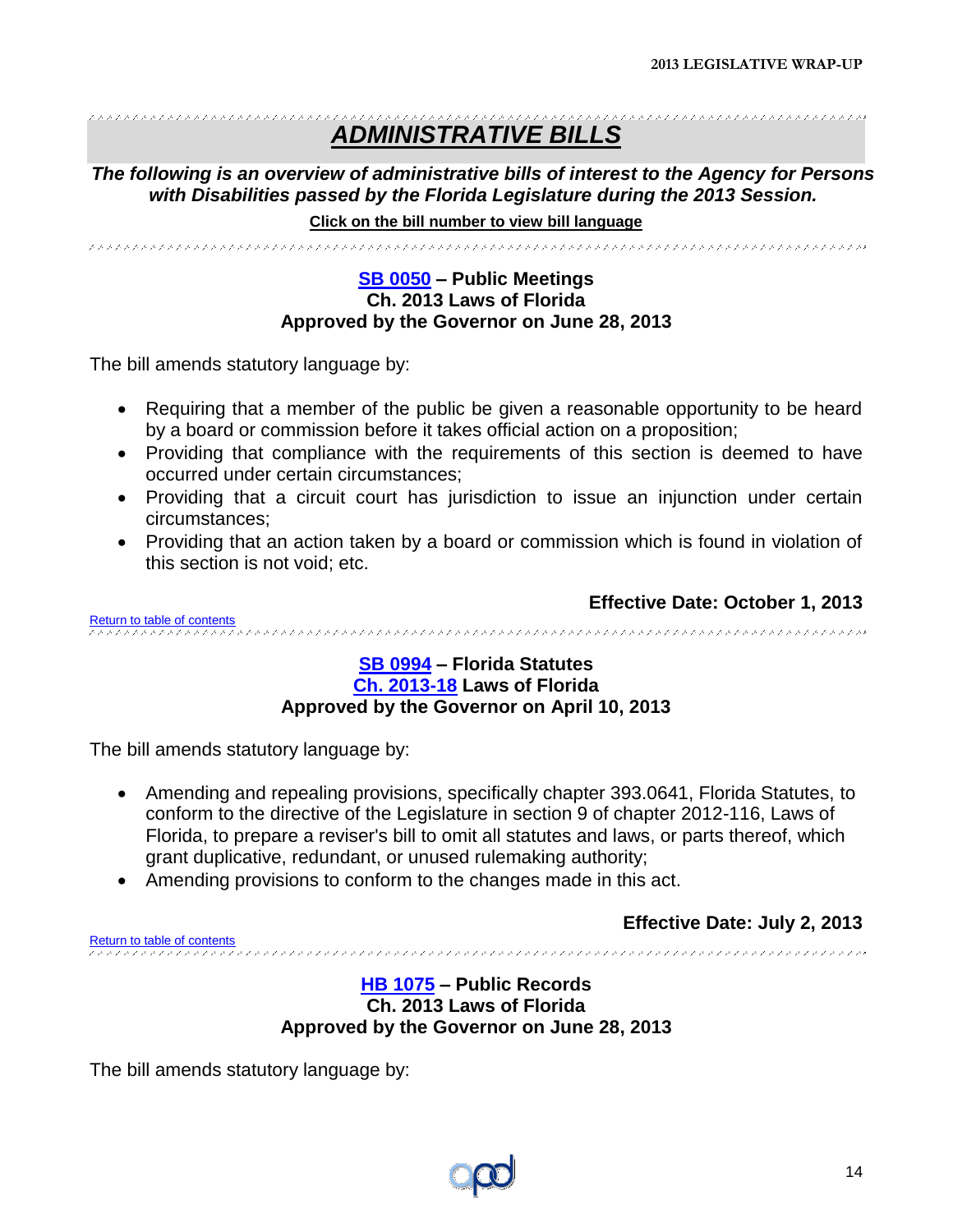#### \*\*\*\*\*\*\*\*\*\*\*\*\*\*\*\*\*\*\*\*\*\*\*\*\*\*\*\*\* ,,,,,,,,,,,,,,,,,,,,,,,,,,,,,,,,,, *ADMINISTRATIVE BILLS*

*The following is an overview of administrative bills of interest to the Agency for Persons with Disabilities passed by the Florida Legislature during the 2013 Session.*

**Click on the bill number to view bill language** 

<span id="page-13-0"></span>

#### **SB [0050](http://www.flsenate.gov/Session/Bill/2013/0050/BillText/er/PDF) – Public Meetings Ch. 2013 Laws of Florida Approved by the Governor on June 28, 2013**

The bill amends statutory language by:

- Requiring that a member of the public be given a reasonable opportunity to be heard by a board or commission before it takes official action on a proposition;
- Providing that compliance with the requirements of this section is deemed to have occurred under certain circumstances;
- Providing that a circuit court has jurisdiction to issue an injunction under certain circumstances;
- Providing that an action taken by a board or commission which is found in violation of this section is not void; etc.

<span id="page-13-1"></span>**Effective Date: October 1, 2013** [Return to table of contents](#page-1-0)

#### **[SB 0994](http://www.flsenate.gov/Session/Bill/2013/0994/BillText/er/PDF) – Florida Statutes [Ch. 2013-18](http://laws.flrules.org/files/Ch_2013_018.pdf) Laws of Florida Approved by the Governor on April 10, 2013**

The bill amends statutory language by:

- Amending and repealing provisions, specifically chapter 393.0641, Florida Statutes, to conform to the directive of the Legislature in section 9 of chapter 2012-116, Laws of Florida, to prepare a reviser's bill to omit all statutes and laws, or parts thereof, which grant duplicative, redundant, or unused rulemaking authority;
- Amending provisions to conform to the changes made in this act.

**Effective Date: July 2, 2013**

<span id="page-13-2"></span>[Return to table of contents](#page-1-0)

#### **[HB 1075](http://www.myfloridahouse.gov/Sections/Documents/loaddoc.aspx?FileName=_h1075er.docx&DocumentType=Bill&BillNumber=1075&Session=2013) – Public Records Ch. 2013 Laws of Florida Approved by the Governor on June 28, 2013**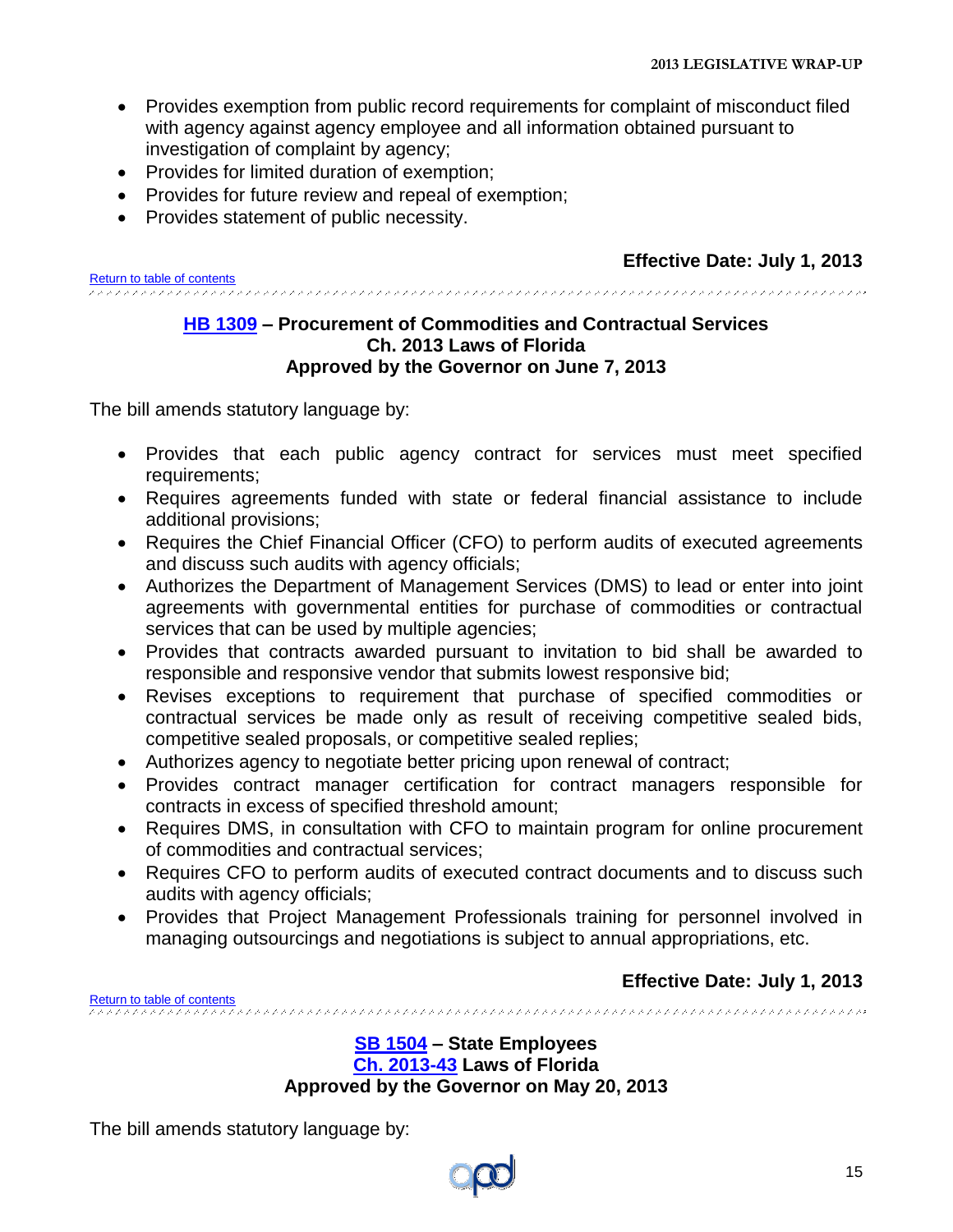- Provides exemption from public record requirements for complaint of misconduct filed with agency against agency employee and all information obtained pursuant to investigation of complaint by agency;
- Provides for limited duration of exemption:
- Provides for future review and repeal of exemption;
- Provides statement of public necessity.

<span id="page-14-0"></span>[Return to table of contents](#page-1-0)

#### **[HB 1309](http://www.myfloridahouse.gov/Sections/Documents/loaddoc.aspx?FileName=_h1309er.docx&DocumentType=Bill&BillNumber=1309&Session=2013) – Procurement of Commodities and Contractual Services Ch. 2013 Laws of Florida Approved by the Governor on June 7, 2013**

The bill amends statutory language by:

- Provides that each public agency contract for services must meet specified requirements;
- Requires agreements funded with state or federal financial assistance to include additional provisions;
- Requires the Chief Financial Officer (CFO) to perform audits of executed agreements and discuss such audits with agency officials;
- Authorizes the Department of Management Services (DMS) to lead or enter into joint agreements with governmental entities for purchase of commodities or contractual services that can be used by multiple agencies;
- Provides that contracts awarded pursuant to invitation to bid shall be awarded to responsible and responsive vendor that submits lowest responsive bid;
- Revises exceptions to requirement that purchase of specified commodities or contractual services be made only as result of receiving competitive sealed bids, competitive sealed proposals, or competitive sealed replies;
- Authorizes agency to negotiate better pricing upon renewal of contract;
- Provides contract manager certification for contract managers responsible for contracts in excess of specified threshold amount;
- Requires DMS, in consultation with CFO to maintain program for online procurement of commodities and contractual services;
- Requires CFO to perform audits of executed contract documents and to discuss such audits with agency officials;
- Provides that Project Management Professionals training for personnel involved in managing outsourcings and negotiations is subject to annual appropriations, etc.

<span id="page-14-1"></span>[Return to table of contents](#page-1-0)

**Effective Date: July 1, 2013**

**[SB 1504](http://www.flsenate.gov/Session/Bill/2013/1504/BillText/er/PDF) – State Employees [Ch. 2013-43](http://laws.flrules.org/files/Ch_2013_043.pdf) Laws of Florida Approved by the Governor on May 20, 2013**

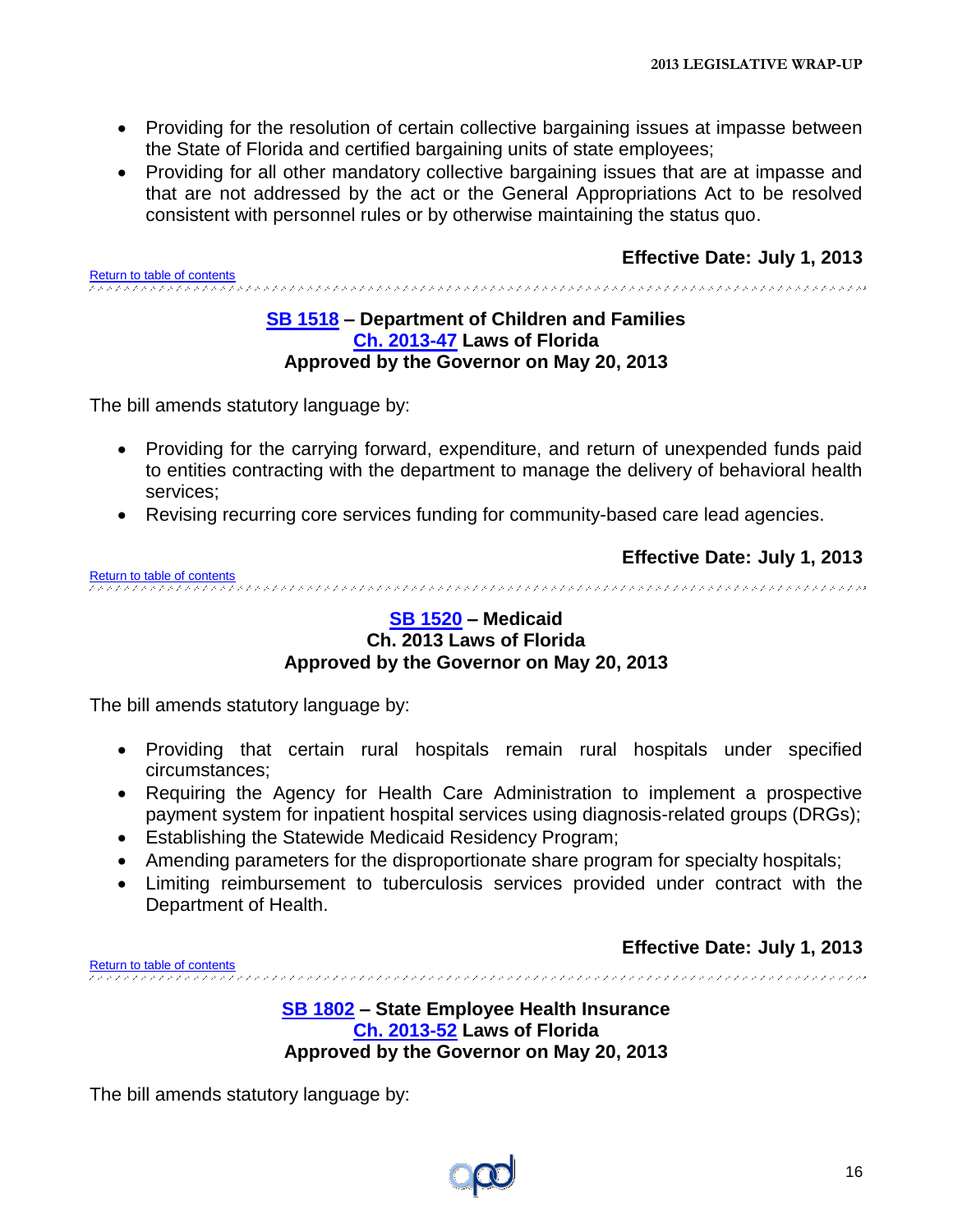- Providing for the resolution of certain collective bargaining issues at impasse between the State of Florida and certified bargaining units of state employees;
- Providing for all other mandatory collective bargaining issues that are at impasse and that are not addressed by the act or the General Appropriations Act to be resolved consistent with personnel rules or by otherwise maintaining the status quo.

<span id="page-15-0"></span>[Return to table of contents](#page-1-0)

#### **[SB 1518](http://www.flsenate.gov/Session/Bill/2013/1518/BillText/er/PDF) – Department of Children and Families [Ch. 2013-47](http://laws.flrules.org/files/Ch_2013_047.pdf) Laws of Florida Approved by the Governor on May 20, 2013**

The bill amends statutory language by:

- Providing for the carrying forward, expenditure, and return of unexpended funds paid to entities contracting with the department to manage the delivery of behavioral health services;
- Revising recurring core services funding for community-based care lead agencies.

<span id="page-15-1"></span>**Effective Date: July 1, 2013** [Return to table of contents](#page-1-0)<br>experiences encores experiences encores experiences encores experiences encores experiences encores experience

#### **[SB 1520](http://www.flsenate.gov/Session/Bill/2013/1520/BillText/er/PDF) – Medicaid Ch. 2013 Laws of Florida Approved by the Governor on May 20, 2013**

The bill amends statutory language by:

- Providing that certain rural hospitals remain rural hospitals under specified circumstances;
- Requiring the Agency for Health Care Administration to implement a prospective payment system for inpatient hospital services using diagnosis-related groups (DRGs);
- Establishing the Statewide Medicaid Residency Program;
- Amending parameters for the disproportionate share program for specialty hospitals;
- Limiting reimbursement to tuberculosis services provided under contract with the Department of Health.

**Effective Date: July 1, 2013**

<span id="page-15-2"></span>[Return to table of contents](#page-1-0)

**[SB 1802](http://www.flsenate.gov/Session/Bill/2013/1802/BillText/er/PDF) – State Employee Health Insurance [Ch. 2013-52](http://laws.flrules.org/files/Ch_2013_052.pdf) Laws of Florida Approved by the Governor on May 20, 2013**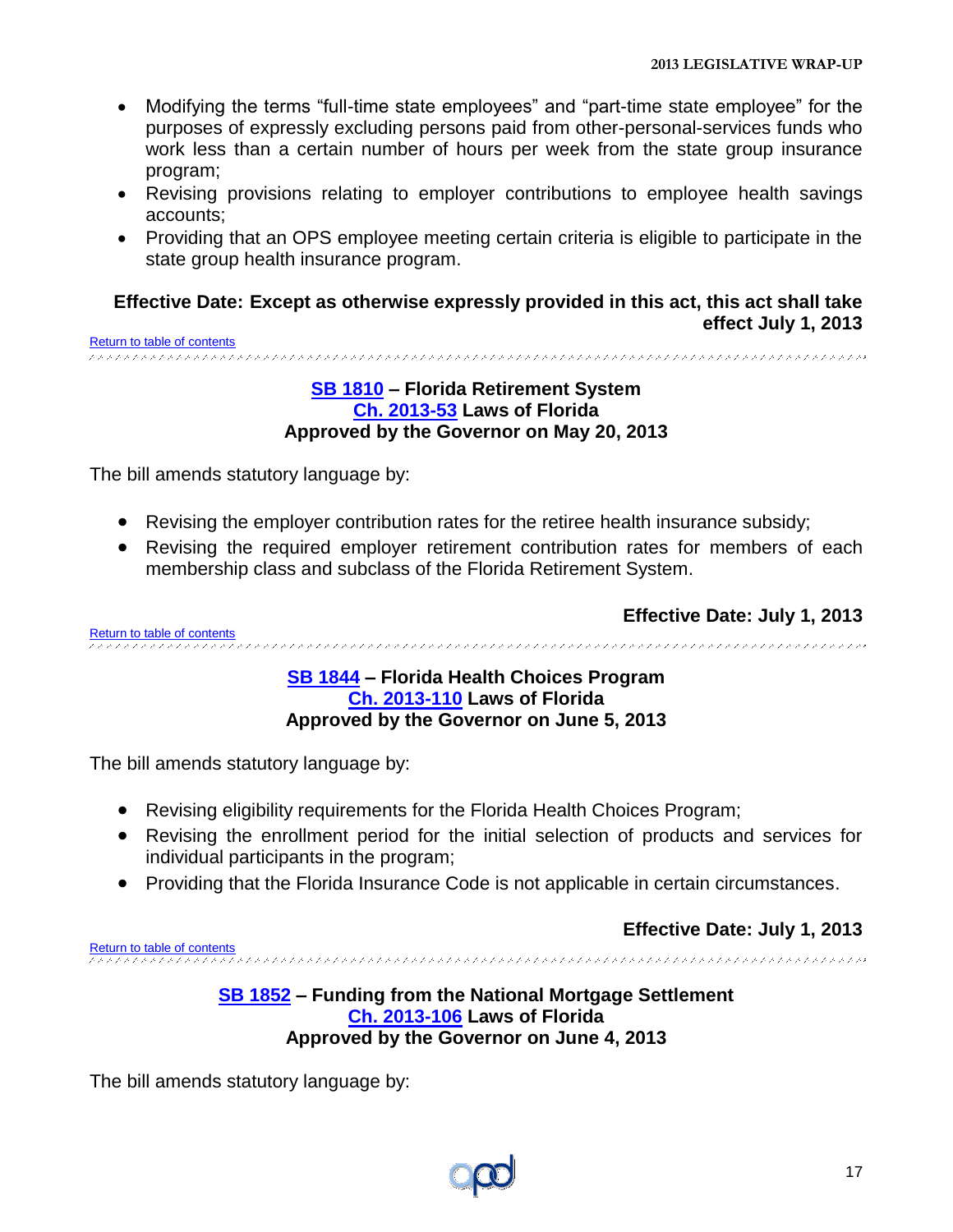- Modifying the terms "full-time state employees" and "part-time state employee" for the purposes of expressly excluding persons paid from other-personal-services funds who work less than a certain number of hours per week from the state group insurance program;
- Revising provisions relating to employer contributions to employee health savings accounts;
- Providing that an OPS employee meeting certain criteria is eligible to participate in the state group health insurance program.

#### **Effective Date: Except as otherwise expressly provided in this act, this act shall take effect July 1, 2013** [Return to table of contents](#page-1-0)

<span id="page-16-0"></span>

#### **[SB 1810](http://www.flsenate.gov/Session/Bill/2013/1810/BillText/er/PDF) – Florida Retirement System [Ch. 2013-53](http://laws.flrules.org/files/Ch_2013_053.pdf) Laws of Florida Approved by the Governor on May 20, 2013**

The bill amends statutory language by:

- Revising the employer contribution rates for the retiree health insurance subsidy;
- Revising the required employer retirement contribution rates for members of each membership class and subclass of the Florida Retirement System.

**Effective Date: July 1, 2013**

<span id="page-16-1"></span>[Return to table of contents](#page-1-0)

#### **[SB 1844](http://www.flsenate.gov/Session/Bill/2013/1844/BillText/er/PDF) – Florida Health Choices Program [Ch. 2013-110](http://laws.flrules.org/files/Ch_2013_110.pdf.pdf) Laws of Florida Approved by the Governor on June 5, 2013**

The bill amends statutory language by:

- Revising eligibility requirements for the Florida Health Choices Program;
- Revising the enrollment period for the initial selection of products and services for individual participants in the program;
- Providing that the Florida Insurance Code is not applicable in certain circumstances.

**Effective Date: July 1, 2013**

<span id="page-16-2"></span>[Return to table of contents](#page-1-0)

#### **[SB 1852](http://www.flsenate.gov/Session/Bill/2013/1852/BillText/er/PDF) – Funding from the National Mortgage Settlement [Ch. 2013-106](http://laws.flrules.org/files/Ch_2013_106.pdf) Laws of Florida Approved by the Governor on June 4, 2013**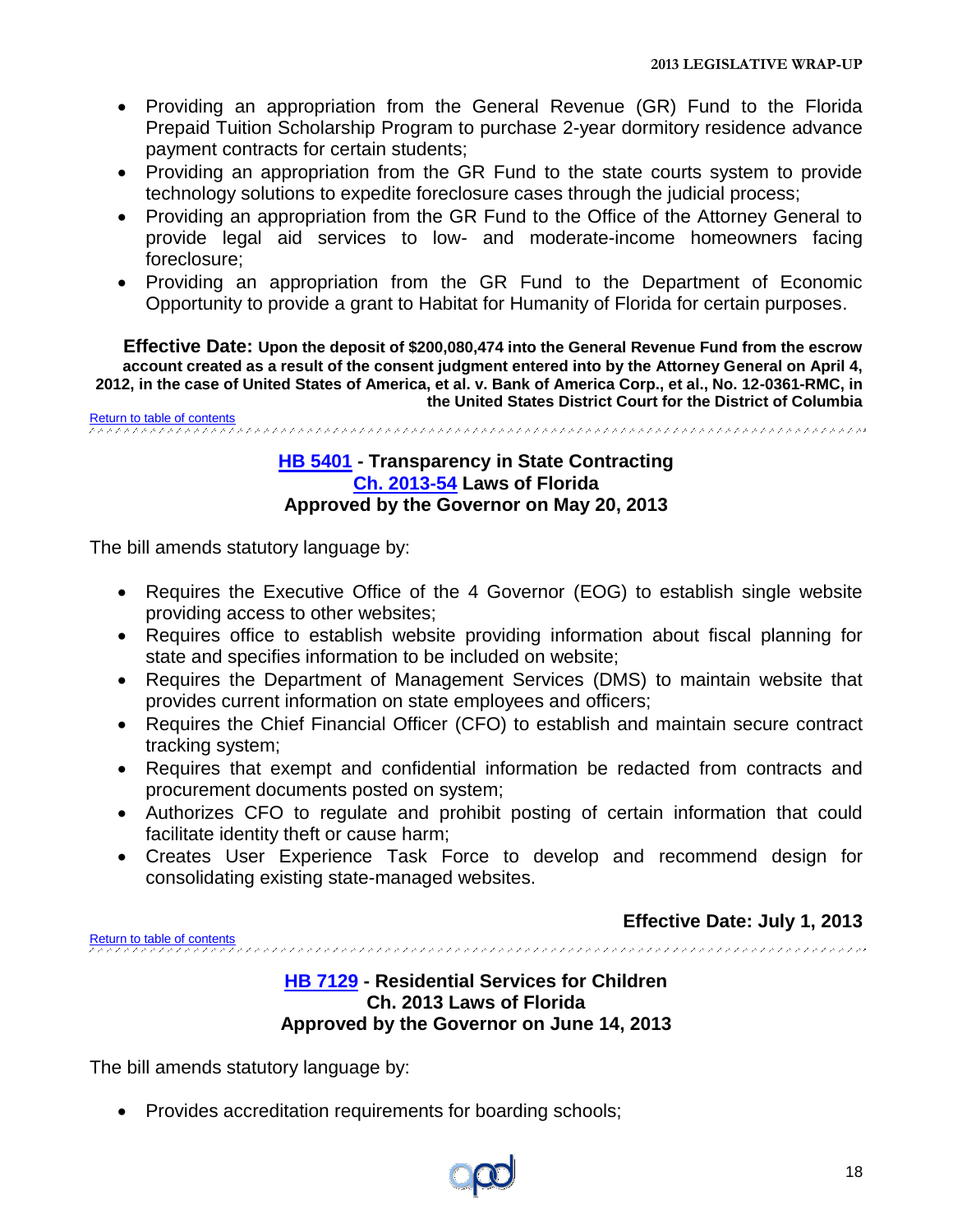- Providing an appropriation from the General Revenue (GR) Fund to the Florida Prepaid Tuition Scholarship Program to purchase 2-year dormitory residence advance payment contracts for certain students;
- Providing an appropriation from the GR Fund to the state courts system to provide technology solutions to expedite foreclosure cases through the judicial process;
- Providing an appropriation from the GR Fund to the Office of the Attorney General to provide legal aid services to low- and moderate-income homeowners facing foreclosure;
- Providing an appropriation from the GR Fund to the Department of Economic Opportunity to provide a grant to Habitat for Humanity of Florida for certain purposes.

**Effective Date: Upon the deposit of \$200,080,474 into the General Revenue Fund from the escrow account created as a result of the consent judgment entered into by the Attorney General on April 4, 2012, in the case of United States of America, et al. v. Bank of America Corp., et al., No. 12-0361-RMC, in the United States District Court for the District of Columbia**

<span id="page-17-0"></span>[Return to table of contents](#page-1-0)

#### **[HB 5401](http://www.myfloridahouse.gov/Sections/Documents/loaddoc.aspx?FileName=_h5401er.docx&DocumentType=Bill&BillNumber=5401&Session=2013) - Transparency in State Contracting [Ch. 2013-54](http://laws.flrules.org/files/Ch_2013_054.pdf) Laws of Florida Approved by the Governor on May 20, 2013**

The bill amends statutory language by:

- Requires the Executive Office of the 4 Governor (EOG) to establish single website providing access to other websites;
- Requires office to establish website providing information about fiscal planning for state and specifies information to be included on website;
- Requires the Department of Management Services (DMS) to maintain website that provides current information on state employees and officers;
- Requires the Chief Financial Officer (CFO) to establish and maintain secure contract tracking system;
- Requires that exempt and confidential information be redacted from contracts and procurement documents posted on system;
- Authorizes CFO to regulate and prohibit posting of certain information that could facilitate identity theft or cause harm;
- Creates User Experience Task Force to develop and recommend design for consolidating existing state-managed websites.

**Effective Date: July 1, 2013**

<span id="page-17-1"></span>[Return to table of contents](#page-1-0)

#### **[HB 7129](http://www.myfloridahouse.gov/Sections/Documents/loaddoc.aspx?FileName=_h7129er.docx&DocumentType=Bill&BillNumber=7129&Session=2013) - Residential Services for Children Ch. 2013 Laws of Florida Approved by the Governor on June 14, 2013**

The bill amends statutory language by:

• Provides accreditation requirements for boarding schools;